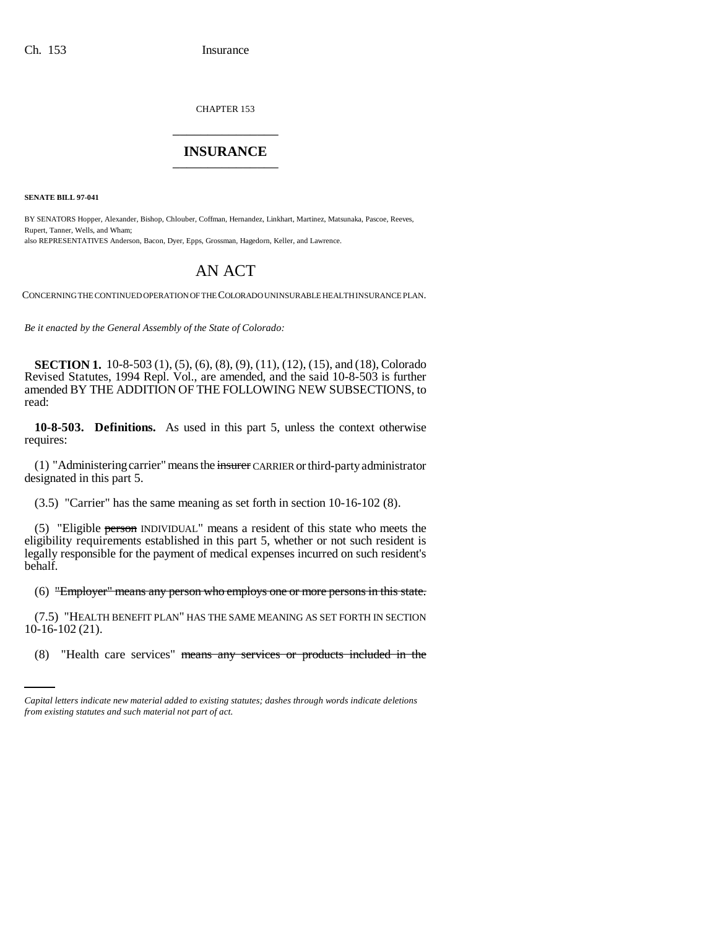CHAPTER 153 \_\_\_\_\_\_\_\_\_\_\_\_\_\_\_

## **INSURANCE** \_\_\_\_\_\_\_\_\_\_\_\_\_\_\_

**SENATE BILL 97-041**

BY SENATORS Hopper, Alexander, Bishop, Chlouber, Coffman, Hernandez, Linkhart, Martinez, Matsunaka, Pascoe, Reeves, Rupert, Tanner, Wells, and Wham; also REPRESENTATIVES Anderson, Bacon, Dyer, Epps, Grossman, Hagedorn, Keller, and Lawrence.

## AN ACT

CONCERNING THE CONTINUED OPERATION OF THE COLORADO UNINSURABLE HEALTH INSURANCE PLAN.

*Be it enacted by the General Assembly of the State of Colorado:*

**SECTION 1.** 10-8-503 (1), (5), (6), (8), (9), (11), (12), (15), and (18), Colorado Revised Statutes, 1994 Repl. Vol., are amended, and the said 10-8-503 is further amended BY THE ADDITION OF THE FOLLOWING NEW SUBSECTIONS, to read:

**10-8-503. Definitions.** As used in this part 5, unless the context otherwise requires:

(1) "Administering carrier" means the insurer CARRIER or third-party administrator designated in this part 5.

(3.5) "Carrier" has the same meaning as set forth in section 10-16-102 (8).

(5) "Eligible person INDIVIDUAL" means a resident of this state who meets the eligibility requirements established in this part 5, whether or not such resident is legally responsible for the payment of medical expenses incurred on such resident's behalf.

(6) "Employer" means any person who employs one or more persons in this state.

 $10-16-102(21)$ . (7.5) "HEALTH BENEFIT PLAN" HAS THE SAME MEANING AS SET FORTH IN SECTION

(8) "Health care services" means any services or products included in the

*Capital letters indicate new material added to existing statutes; dashes through words indicate deletions from existing statutes and such material not part of act.*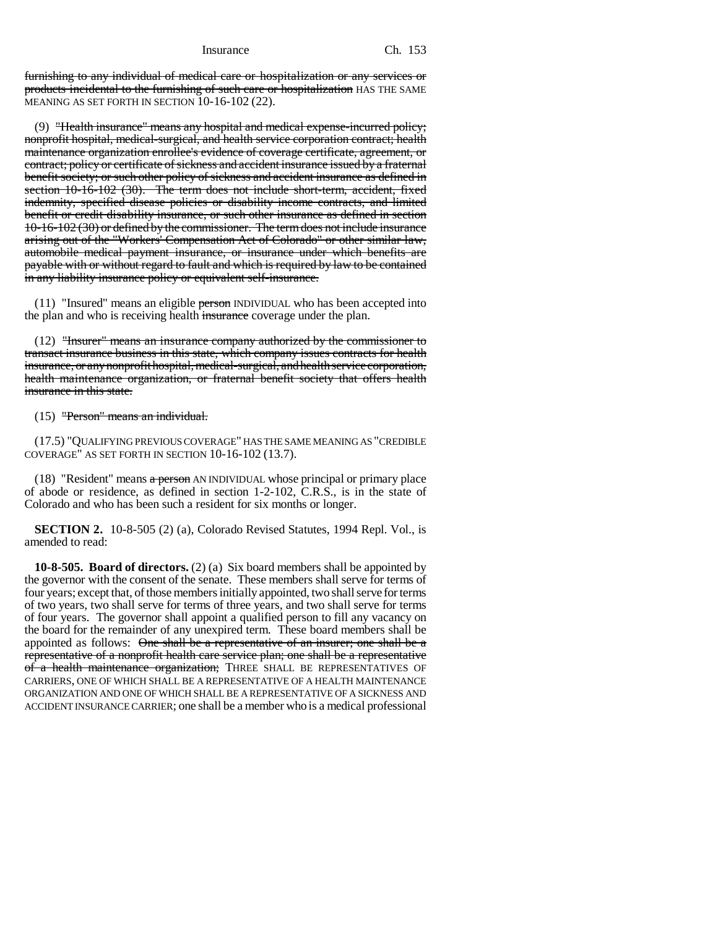furnishing to any individual of medical care or hospitalization or any services or products incidental to the furnishing of such care or hospitalization HAS THE SAME MEANING AS SET FORTH IN SECTION 10-16-102 (22).

(9) "Health insurance" means any hospital and medical expense-incurred policy; nonprofit hospital, medical-surgical, and health service corporation contract; health maintenance organization enrollee's evidence of coverage certificate, agreement, or contract; policy or certificate of sickness and accident insurance issued by a fraternal benefit society; or such other policy of sickness and accident insurance as defined in section 10-16-102 (30). The term does not include short-term, accident, fixed indemnity, specified disease policies or disability income contracts, and limited benefit or credit disability insurance, or such other insurance as defined in section 10-16-102 (30) or defined by the commissioner. The term does not include insurance arising out of the "Workers' Compensation Act of Colorado" or other similar law, automobile medical payment insurance, or insurance under which benefits are payable with or without regard to fault and which is required by law to be contained in any liability insurance policy or equivalent self-insurance.

 $(11)$  "Insured" means an eligible person INDIVIDUAL who has been accepted into the plan and who is receiving health insurance coverage under the plan.

(12) "Insurer" means an insurance company authorized by the commissioner to transact insurance business in this state, which company issues contracts for health insurance, or any nonprofit hospital, medical-surgical, and health service corporation, health maintenance organization, or fraternal benefit society that offers health insurance in this state.

(15) "Person" means an individual.

(17.5) "QUALIFYING PREVIOUS COVERAGE" HAS THE SAME MEANING AS "CREDIBLE COVERAGE" AS SET FORTH IN SECTION 10-16-102 (13.7).

(18) "Resident" means a person AN INDIVIDUAL whose principal or primary place of abode or residence, as defined in section 1-2-102, C.R.S., is in the state of Colorado and who has been such a resident for six months or longer.

**SECTION 2.** 10-8-505 (2) (a), Colorado Revised Statutes, 1994 Repl. Vol., is amended to read:

**10-8-505. Board of directors.** (2) (a) Six board members shall be appointed by the governor with the consent of the senate. These members shall serve for terms of four years; except that, of those members initially appointed, two shall serve for terms of two years, two shall serve for terms of three years, and two shall serve for terms of four years. The governor shall appoint a qualified person to fill any vacancy on the board for the remainder of any unexpired term. These board members shall be appointed as follows: One shall be a representative of an insurer; one shall be a representative of a nonprofit health care service plan; one shall be a representative of a health maintenance organization; THREE SHALL BE REPRESENTATIVES OF CARRIERS, ONE OF WHICH SHALL BE A REPRESENTATIVE OF A HEALTH MAINTENANCE ORGANIZATION AND ONE OF WHICH SHALL BE A REPRESENTATIVE OF A SICKNESS AND ACCIDENT INSURANCE CARRIER; one shall be a member who is a medical professional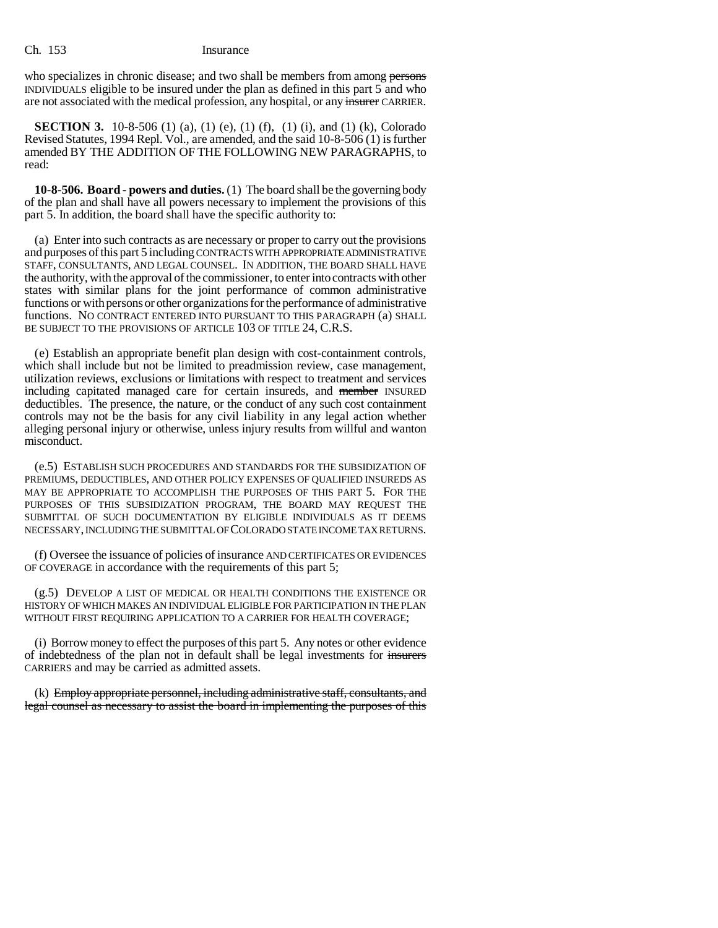who specializes in chronic disease; and two shall be members from among persons INDIVIDUALS eligible to be insured under the plan as defined in this part 5 and who are not associated with the medical profession, any hospital, or any insurer CARRIER.

**SECTION 3.** 10-8-506 (1) (a), (1) (e), (1) (f), (1) (i), and (1) (k), Colorado Revised Statutes, 1994 Repl. Vol., are amended, and the said 10-8-506 (1) is further amended BY THE ADDITION OF THE FOLLOWING NEW PARAGRAPHS, to read:

**10-8-506. Board - powers and duties.** (1) The board shall be the governing body of the plan and shall have all powers necessary to implement the provisions of this part 5. In addition, the board shall have the specific authority to:

(a) Enter into such contracts as are necessary or proper to carry out the provisions and purposes of this part 5 including CONTRACTS WITH APPROPRIATE ADMINISTRATIVE STAFF, CONSULTANTS, AND LEGAL COUNSEL. IN ADDITION, THE BOARD SHALL HAVE the authority, with the approval of the commissioner, to enter into contracts with other states with similar plans for the joint performance of common administrative functions or with persons or other organizations for the performance of administrative functions. NO CONTRACT ENTERED INTO PURSUANT TO THIS PARAGRAPH (a) SHALL BE SUBJECT TO THE PROVISIONS OF ARTICLE 103 OF TITLE 24, C.R.S.

(e) Establish an appropriate benefit plan design with cost-containment controls, which shall include but not be limited to preadmission review, case management, utilization reviews, exclusions or limitations with respect to treatment and services including capitated managed care for certain insureds, and member INSURED deductibles. The presence, the nature, or the conduct of any such cost containment controls may not be the basis for any civil liability in any legal action whether alleging personal injury or otherwise, unless injury results from willful and wanton misconduct.

(e.5) ESTABLISH SUCH PROCEDURES AND STANDARDS FOR THE SUBSIDIZATION OF PREMIUMS, DEDUCTIBLES, AND OTHER POLICY EXPENSES OF QUALIFIED INSUREDS AS MAY BE APPROPRIATE TO ACCOMPLISH THE PURPOSES OF THIS PART 5. FOR THE PURPOSES OF THIS SUBSIDIZATION PROGRAM, THE BOARD MAY REQUEST THE SUBMITTAL OF SUCH DOCUMENTATION BY ELIGIBLE INDIVIDUALS AS IT DEEMS NECESSARY, INCLUDING THE SUBMITTAL OF COLORADO STATE INCOME TAX RETURNS.

(f) Oversee the issuance of policies of insurance AND CERTIFICATES OR EVIDENCES OF COVERAGE in accordance with the requirements of this part 5;

(g.5) DEVELOP A LIST OF MEDICAL OR HEALTH CONDITIONS THE EXISTENCE OR HISTORY OF WHICH MAKES AN INDIVIDUAL ELIGIBLE FOR PARTICIPATION IN THE PLAN WITHOUT FIRST REQUIRING APPLICATION TO A CARRIER FOR HEALTH COVERAGE;

(i) Borrow money to effect the purposes of this part 5. Any notes or other evidence of indebtedness of the plan not in default shall be legal investments for insurers CARRIERS and may be carried as admitted assets.

(k) Employ appropriate personnel, including administrative staff, consultants, and legal counsel as necessary to assist the board in implementing the purposes of this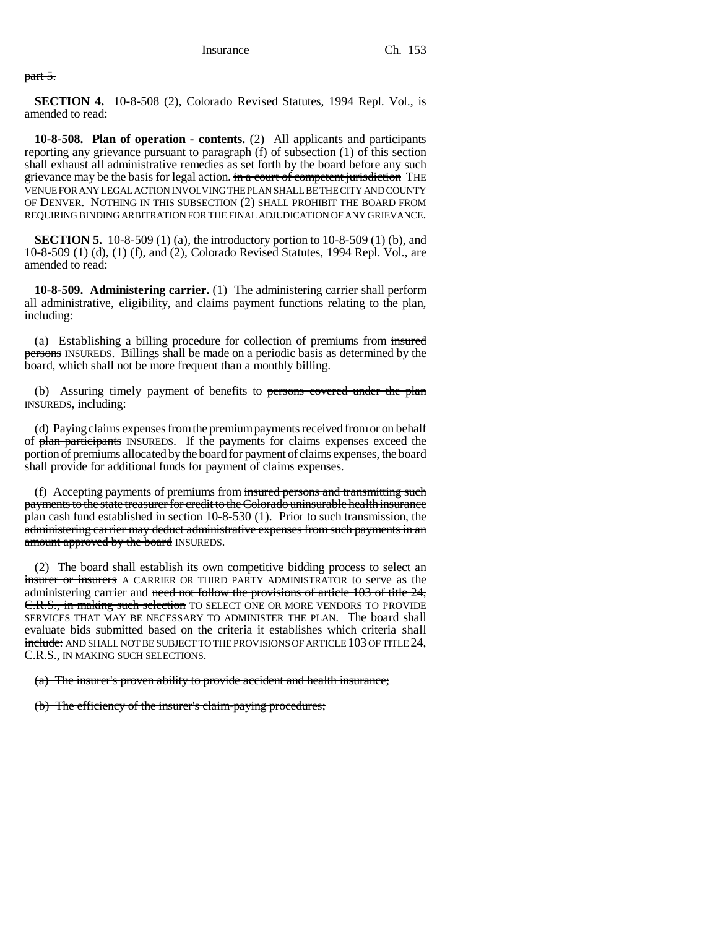part 5.

**SECTION 4.** 10-8-508 (2), Colorado Revised Statutes, 1994 Repl. Vol., is amended to read:

**10-8-508. Plan of operation - contents.** (2) All applicants and participants reporting any grievance pursuant to paragraph (f) of subsection (1) of this section shall exhaust all administrative remedies as set forth by the board before any such grievance may be the basis for legal action. in a court of competent jurisdiction THE VENUE FOR ANY LEGAL ACTION INVOLVING THE PLAN SHALL BE THE CITY AND COUNTY OF DENVER. NOTHING IN THIS SUBSECTION (2) SHALL PROHIBIT THE BOARD FROM REQUIRING BINDING ARBITRATION FOR THE FINAL ADJUDICATION OF ANY GRIEVANCE.

**SECTION 5.** 10-8-509 (1) (a), the introductory portion to 10-8-509 (1) (b), and 10-8-509 (1) (d), (1) (f), and (2), Colorado Revised Statutes, 1994 Repl. Vol., are amended to read:

**10-8-509. Administering carrier.** (1) The administering carrier shall perform all administrative, eligibility, and claims payment functions relating to the plan, including:

(a) Establishing a billing procedure for collection of premiums from insured persons INSUREDS. Billings shall be made on a periodic basis as determined by the board, which shall not be more frequent than a monthly billing.

(b) Assuring timely payment of benefits to persons covered under the plan INSUREDS, including:

(d) Paying claims expenses from the premium payments received from or on behalf of plan participants INSUREDS. If the payments for claims expenses exceed the portion of premiums allocated by the board for payment of claims expenses, the board shall provide for additional funds for payment of claims expenses.

(f) Accepting payments of premiums from insured persons and transmitting such payments to the state treasurer for credit to the Colorado uninsurable health insurance plan cash fund established in section 10-8-530 (1). Prior to such transmission, the administering carrier may deduct administrative expenses from such payments in an amount approved by the board INSUREDS.

(2) The board shall establish its own competitive bidding process to select  $a_n$ insurer or insurers A CARRIER OR THIRD PARTY ADMINISTRATOR to serve as the administering carrier and need not follow the provisions of article 103 of title 24, E.R.S., in making such selection TO SELECT ONE OR MORE VENDORS TO PROVIDE SERVICES THAT MAY BE NECESSARY TO ADMINISTER THE PLAN. The board shall evaluate bids submitted based on the criteria it establishes which criteria shall include: AND SHALL NOT BE SUBJECT TO THE PROVISIONS OF ARTICLE 103 OF TITLE 24, C.R.S., IN MAKING SUCH SELECTIONS.

(a) The insurer's proven ability to provide accident and health insurance;

(b) The efficiency of the insurer's claim-paying procedures;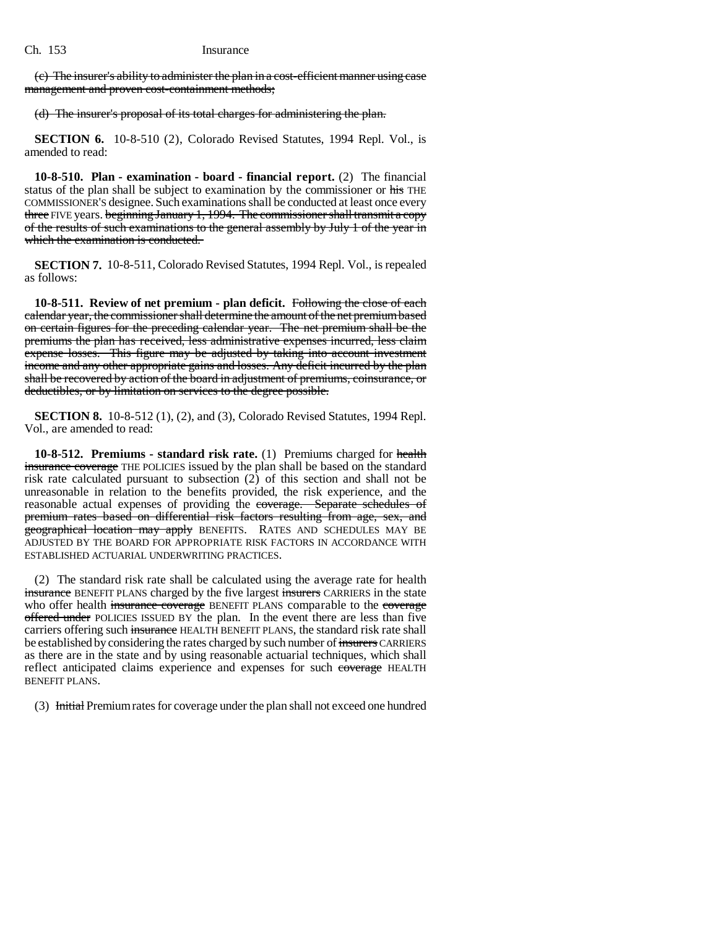(c) The insurer's ability to administer the plan in a cost-efficient manner using case management and proven cost-containment methods;

(d) The insurer's proposal of its total charges for administering the plan.

**SECTION 6.** 10-8-510 (2), Colorado Revised Statutes, 1994 Repl. Vol., is amended to read:

**10-8-510. Plan - examination - board - financial report.** (2) The financial status of the plan shall be subject to examination by the commissioner or his THE COMMISSIONER'S designee. Such examinations shall be conducted at least once every three FIVE years. beginning January 1, 1994. The commissioner shall transmit a copy of the results of such examinations to the general assembly by July 1 of the year in which the examination is conducted.

**SECTION 7.** 10-8-511, Colorado Revised Statutes, 1994 Repl. Vol., is repealed as follows:

**10-8-511. Review of net premium - plan deficit.** Following the close of each calendar year, the commissioner shall determine the amount of the net premium based on certain figures for the preceding calendar year. The net premium shall be the premiums the plan has received, less administrative expenses incurred, less claim expense losses. This figure may be adjusted by taking into account investment income and any other appropriate gains and losses. Any deficit incurred by the plan shall be recovered by action of the board in adjustment of premiums, coinsurance, or deductibles, or by limitation on services to the degree possible.

**SECTION 8.** 10-8-512 (1), (2), and (3), Colorado Revised Statutes, 1994 Repl. Vol., are amended to read:

**10-8-512. Premiums - standard risk rate.** (1) Premiums charged for health insurance coverage THE POLICIES issued by the plan shall be based on the standard risk rate calculated pursuant to subsection (2) of this section and shall not be unreasonable in relation to the benefits provided, the risk experience, and the reasonable actual expenses of providing the coverage. Separate schedules of premium rates based on differential risk factors resulting from age, sex, and geographical location may apply BENEFITS. RATES AND SCHEDULES MAY BE ADJUSTED BY THE BOARD FOR APPROPRIATE RISK FACTORS IN ACCORDANCE WITH ESTABLISHED ACTUARIAL UNDERWRITING PRACTICES.

(2) The standard risk rate shall be calculated using the average rate for health insurance BENEFIT PLANS charged by the five largest insurers CARRIERS in the state who offer health insurance coverage BENEFIT PLANS comparable to the coverage offered under POLICIES ISSUED BY the plan. In the event there are less than five carriers offering such insurance HEALTH BENEFIT PLANS, the standard risk rate shall be established by considering the rates charged by such number of insurers CARRIERS as there are in the state and by using reasonable actuarial techniques, which shall reflect anticipated claims experience and expenses for such coverage HEALTH BENEFIT PLANS.

(3) Initial Premium rates for coverage under the plan shall not exceed one hundred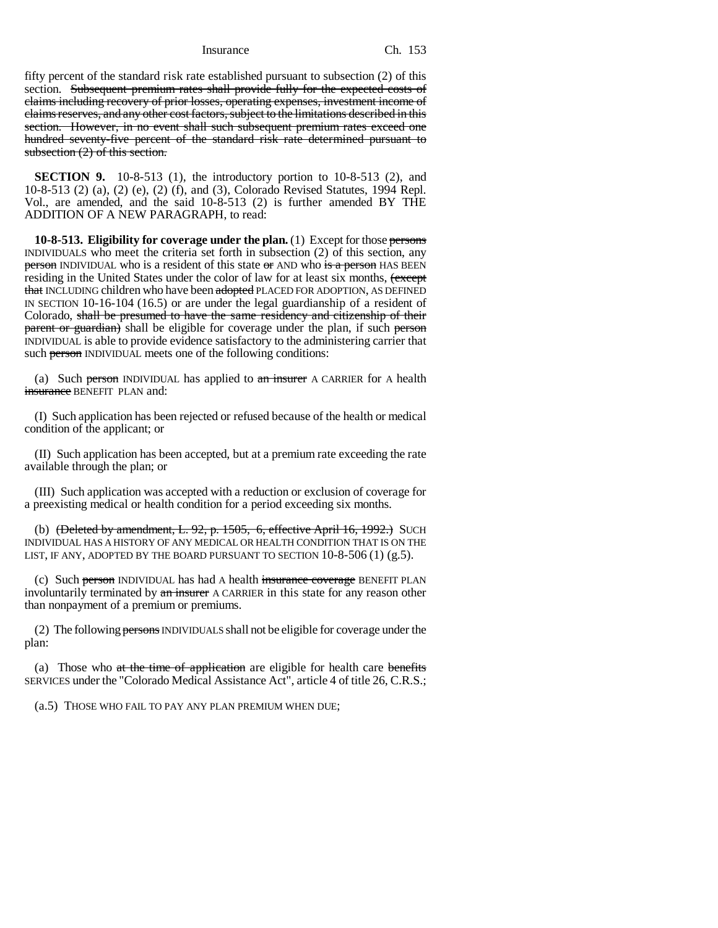Insurance Ch. 153

fifty percent of the standard risk rate established pursuant to subsection (2) of this section. Subsequent premium rates shall provide fully for the expected costs of claims including recovery of prior losses, operating expenses, investment income of claims reserves, and any other cost factors, subject to the limitations described in this section. However, in no event shall such subsequent premium rates exceed one hundred seventy-five percent of the standard risk rate determined pursuant to subsection (2) of this section.

**SECTION 9.** 10-8-513 (1), the introductory portion to 10-8-513 (2), and 10-8-513 (2) (a), (2) (e), (2) (f), and (3), Colorado Revised Statutes, 1994 Repl. Vol., are amended, and the said 10-8-513 (2) is further amended BY THE ADDITION OF A NEW PARAGRAPH, to read:

**10-8-513. Eligibility for coverage under the plan.** (1) Except for those persons INDIVIDUALS who meet the criteria set forth in subsection (2) of this section, any **person** INDIVIDUAL who is a resident of this state or AND who is a person HAS BEEN residing in the United States under the color of law for at least six months,  $\epsilon$  except that INCLUDING children who have been adopted PLACED FOR ADOPTION, AS DEFINED IN SECTION 10-16-104 (16.5) or are under the legal guardianship of a resident of Colorado, shall be presumed to have the same residency and citizenship of their parent or guardian) shall be eligible for coverage under the plan, if such person INDIVIDUAL is able to provide evidence satisfactory to the administering carrier that such person INDIVIDUAL meets one of the following conditions:

(a) Such person INDIVIDUAL has applied to  $a_n$  insurer A CARRIER for A health insurance BENEFIT PLAN and:

(I) Such application has been rejected or refused because of the health or medical condition of the applicant; or

(II) Such application has been accepted, but at a premium rate exceeding the rate available through the plan; or

(III) Such application was accepted with a reduction or exclusion of coverage for a preexisting medical or health condition for a period exceeding six months.

(b) (Deleted by amendment, L. 92, p. 1505, 6, effective April 16, 1992.) SUCH INDIVIDUAL HAS A HISTORY OF ANY MEDICAL OR HEALTH CONDITION THAT IS ON THE LIST, IF ANY, ADOPTED BY THE BOARD PURSUANT TO SECTION  $10-8-506(1)(g.5)$ .

(c) Such person INDIVIDUAL has had A health insurance coverage BENEFIT PLAN involuntarily terminated by an insurer A CARRIER in this state for any reason other than nonpayment of a premium or premiums.

(2) The following persons INDIVIDUALS shall not be eligible for coverage under the plan:

(a) Those who at the time of application are eligible for health care benefits SERVICES under the "Colorado Medical Assistance Act", article 4 of title 26, C.R.S.;

(a.5) THOSE WHO FAIL TO PAY ANY PLAN PREMIUM WHEN DUE;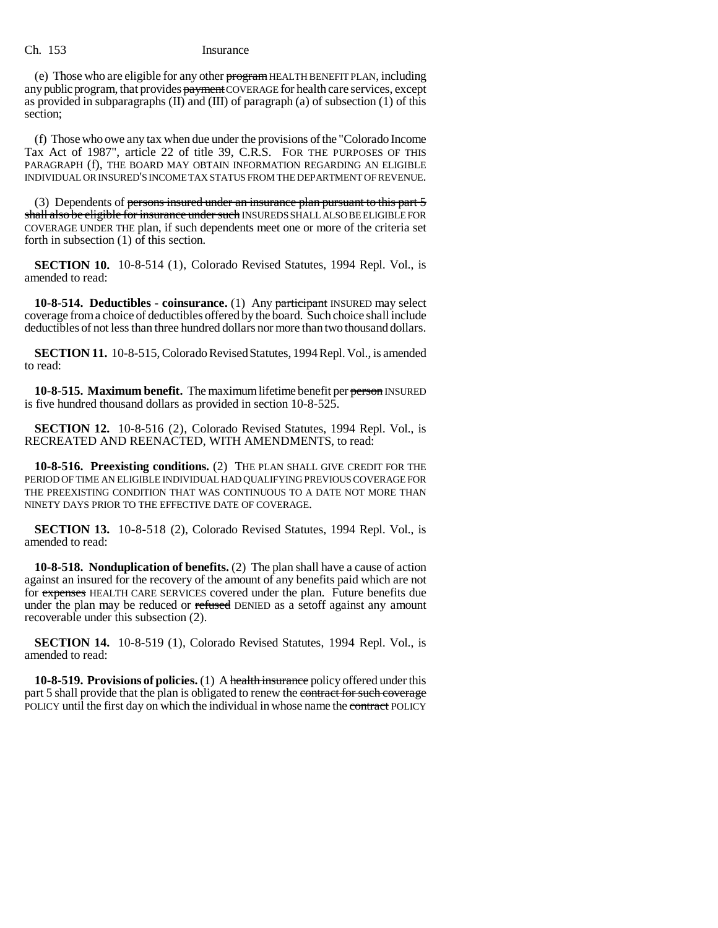## Ch. 153 Insurance

(e) Those who are eligible for any other program HEALTH BENEFIT PLAN, including any public program, that provides payment COVERAGE for health care services, except as provided in subparagraphs  $(II)$  and  $(III)$  of paragraph (a) of subsection (1) of this section;

(f) Those who owe any tax when due under the provisions of the "Colorado Income Tax Act of 1987", article 22 of title 39, C.R.S. FOR THE PURPOSES OF THIS PARAGRAPH (f), THE BOARD MAY OBTAIN INFORMATION REGARDING AN ELIGIBLE INDIVIDUAL OR INSURED'S INCOME TAX STATUS FROM THE DEPARTMENT OF REVENUE.

(3) Dependents of <del>persons insured under an insurance plan pursuant to this part 5</del> shall also be eligible for insurance under such INSUREDS SHALL ALSO BE ELIGIBLE FOR COVERAGE UNDER THE plan, if such dependents meet one or more of the criteria set forth in subsection (1) of this section.

**SECTION 10.** 10-8-514 (1), Colorado Revised Statutes, 1994 Repl. Vol., is amended to read:

**10-8-514. Deductibles - coinsurance.** (1) Any participant INSURED may select coverage from a choice of deductibles offered by the board. Such choice shall include deductibles of not less than three hundred dollars nor more than two thousand dollars.

**SECTION 11.** 10-8-515, Colorado Revised Statutes, 1994 Repl. Vol., is amended to read:

**10-8-515. Maximum benefit.** The maximum lifetime benefit per person INSURED is five hundred thousand dollars as provided in section 10-8-525.

**SECTION 12.** 10-8-516 (2), Colorado Revised Statutes, 1994 Repl. Vol., is RECREATED AND REENACTED, WITH AMENDMENTS, to read:

**10-8-516. Preexisting conditions.** (2) THE PLAN SHALL GIVE CREDIT FOR THE PERIOD OF TIME AN ELIGIBLE INDIVIDUAL HAD QUALIFYING PREVIOUS COVERAGE FOR THE PREEXISTING CONDITION THAT WAS CONTINUOUS TO A DATE NOT MORE THAN NINETY DAYS PRIOR TO THE EFFECTIVE DATE OF COVERAGE.

**SECTION 13.** 10-8-518 (2), Colorado Revised Statutes, 1994 Repl. Vol., is amended to read:

**10-8-518. Nonduplication of benefits.** (2) The plan shall have a cause of action against an insured for the recovery of the amount of any benefits paid which are not for expenses HEALTH CARE SERVICES covered under the plan. Future benefits due under the plan may be reduced or refused DENIED as a setoff against any amount recoverable under this subsection (2).

**SECTION 14.** 10-8-519 (1), Colorado Revised Statutes, 1994 Repl. Vol., is amended to read:

**10-8-519. Provisions of policies.** (1) A health insurance policy offered under this part 5 shall provide that the plan is obligated to renew the contract for such coverage POLICY until the first day on which the individual in whose name the contract POLICY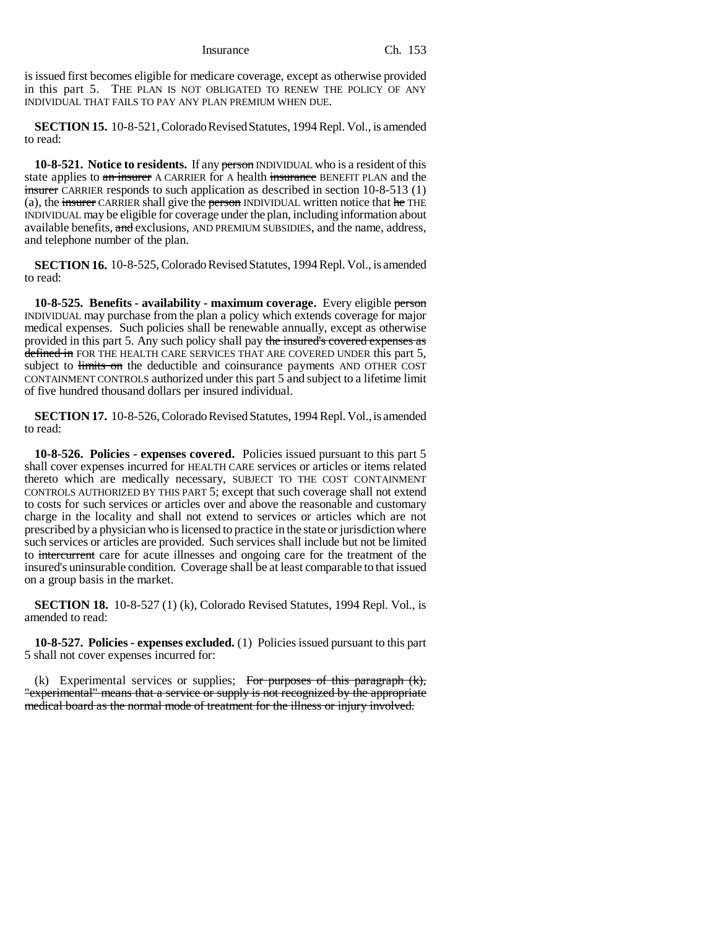Insurance Ch. 153

is issued first becomes eligible for medicare coverage, except as otherwise provided in this part 5. THE PLAN IS NOT OBLIGATED TO RENEW THE POLICY OF ANY INDIVIDUAL THAT FAILS TO PAY ANY PLAN PREMIUM WHEN DUE.

**SECTION 15.** 10-8-521, Colorado Revised Statutes, 1994 Repl. Vol., is amended to read:

**10-8-521.** Notice to residents. If any person INDIVIDUAL who is a resident of this state applies to an insurer A CARRIER for A health insurance BENEFIT PLAN and the insurer CARRIER responds to such application as described in section 10-8-513 (1) (a), the insurer CARRIER shall give the person INDIVIDUAL written notice that  $he$  THE INDIVIDUAL may be eligible for coverage under the plan, including information about available benefits, and exclusions, AND PREMIUM SUBSIDIES, and the name, address, and telephone number of the plan.

**SECTION 16.** 10-8-525, Colorado Revised Statutes, 1994 Repl. Vol., is amended to read:

**10-8-525. Benefits - availability - maximum coverage.** Every eligible person INDIVIDUAL may purchase from the plan a policy which extends coverage for major medical expenses. Such policies shall be renewable annually, except as otherwise provided in this part 5. Any such policy shall pay the insured's covered expenses as defined in FOR THE HEALTH CARE SERVICES THAT ARE COVERED UNDER this part 5, subject to limits on the deductible and coinsurance payments AND OTHER COST CONTAINMENT CONTROLS authorized under this part 5 and subject to a lifetime limit of five hundred thousand dollars per insured individual.

**SECTION 17.** 10-8-526, Colorado Revised Statutes, 1994 Repl. Vol., is amended to read:

**10-8-526. Policies - expenses covered.** Policies issued pursuant to this part 5 shall cover expenses incurred for HEALTH CARE services or articles or items related thereto which are medically necessary, SUBJECT TO THE COST CONTAINMENT CONTROLS AUTHORIZED BY THIS PART 5; except that such coverage shall not extend to costs for such services or articles over and above the reasonable and customary charge in the locality and shall not extend to services or articles which are not prescribed by a physician who is licensed to practice in the state or jurisdiction where such services or articles are provided. Such services shall include but not be limited to intercurrent care for acute illnesses and ongoing care for the treatment of the insured's uninsurable condition. Coverage shall be at least comparable to that issued on a group basis in the market.

**SECTION 18.** 10-8-527 (1) (k), Colorado Revised Statutes, 1994 Repl. Vol., is amended to read:

**10-8-527. Policies - expenses excluded.** (1) Policies issued pursuant to this part 5 shall not cover expenses incurred for:

(k) Experimental services or supplies; For purposes of this paragraph  $(k)$ , "experimental" means that a service or supply is not recognized by the appropriate medical board as the normal mode of treatment for the illness or injury involved.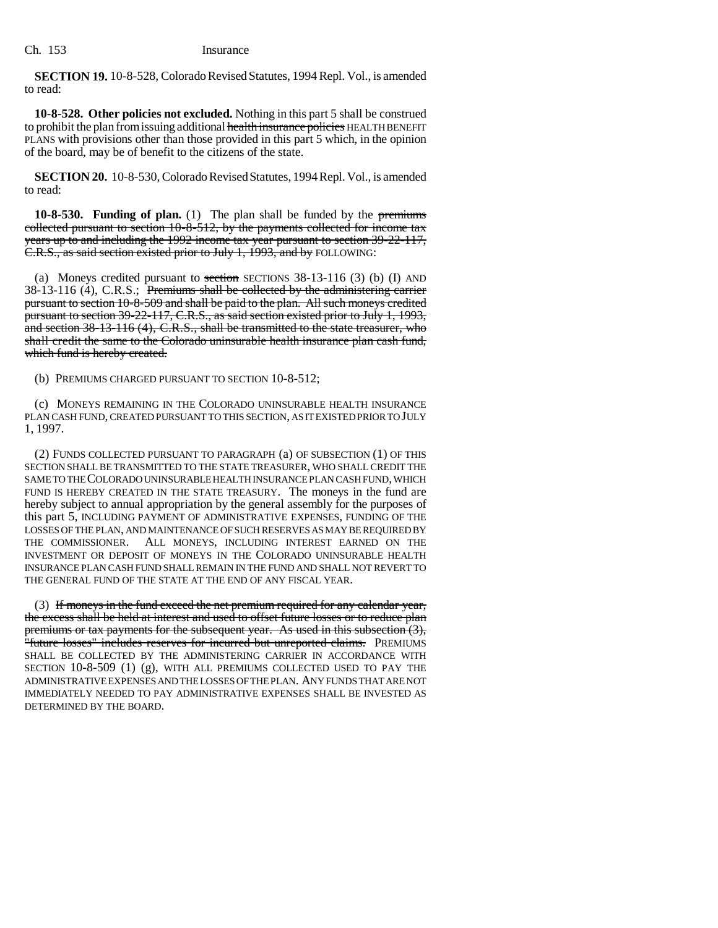**SECTION 19.** 10-8-528, Colorado Revised Statutes, 1994 Repl. Vol., is amended to read:

**10-8-528. Other policies not excluded.** Nothing in this part 5 shall be construed to prohibit the plan from issuing additional health insurance policies HEALTH BENEFIT PLANS with provisions other than those provided in this part 5 which, in the opinion of the board, may be of benefit to the citizens of the state.

**SECTION 20.** 10-8-530, Colorado Revised Statutes, 1994 Repl. Vol., is amended to read:

**10-8-530. Funding of plan.** (1) The plan shall be funded by the premiums collected pursuant to section 10-8-512, by the payments collected for income tax years up to and including the 1992 income tax year pursuant to section 39-22-117, C.R.S., as said section existed prior to July 1, 1993, and by FOLLOWING:

(a) Moneys credited pursuant to section SECTIONS  $38-13-116$  (3) (b) (I) AND 38-13-116 (4), C.R.S.; Premiums shall be collected by the administering carrier pursuant to section 10-8-509 and shall be paid to the plan. All such moneys credited pursuant to section 39-22-117, C.R.S., as said section existed prior to July 1, 1993, and section 38-13-116 (4), C.R.S., shall be transmitted to the state treasurer, who shall credit the same to the Colorado uninsurable health insurance plan cash fund, which fund is hereby created.

(b) PREMIUMS CHARGED PURSUANT TO SECTION 10-8-512;

(c) MONEYS REMAINING IN THE COLORADO UNINSURABLE HEALTH INSURANCE PLAN CASH FUND, CREATED PURSUANT TO THIS SECTION, AS IT EXISTED PRIOR TO JULY 1, 1997.

(2) FUNDS COLLECTED PURSUANT TO PARAGRAPH (a) OF SUBSECTION (1) OF THIS SECTION SHALL BE TRANSMITTED TO THE STATE TREASURER, WHO SHALL CREDIT THE SAME TO THE COLORADO UNINSURABLE HEALTH INSURANCE PLAN CASH FUND, WHICH FUND IS HEREBY CREATED IN THE STATE TREASURY. The moneys in the fund are hereby subject to annual appropriation by the general assembly for the purposes of this part 5, INCLUDING PAYMENT OF ADMINISTRATIVE EXPENSES, FUNDING OF THE LOSSES OF THE PLAN, AND MAINTENANCE OF SUCH RESERVES AS MAY BE REQUIRED BY THE COMMISSIONER. ALL MONEYS, INCLUDING INTEREST EARNED ON THE INVESTMENT OR DEPOSIT OF MONEYS IN THE COLORADO UNINSURABLE HEALTH INSURANCE PLAN CASH FUND SHALL REMAIN IN THE FUND AND SHALL NOT REVERT TO THE GENERAL FUND OF THE STATE AT THE END OF ANY FISCAL YEAR.

(3) If moneys in the fund exceed the net premium required for any calendar year, the excess shall be held at interest and used to offset future losses or to reduce plan premiums or tax payments for the subsequent year. As used in this subsection (3), "future losses" includes reserves for incurred but unreported claims. PREMIUMS SHALL BE COLLECTED BY THE ADMINISTERING CARRIER IN ACCORDANCE WITH SECTION 10-8-509 (1) (g), WITH ALL PREMIUMS COLLECTED USED TO PAY THE ADMINISTRATIVE EXPENSES AND THE LOSSES OF THE PLAN. ANY FUNDS THAT ARE NOT IMMEDIATELY NEEDED TO PAY ADMINISTRATIVE EXPENSES SHALL BE INVESTED AS DETERMINED BY THE BOARD.